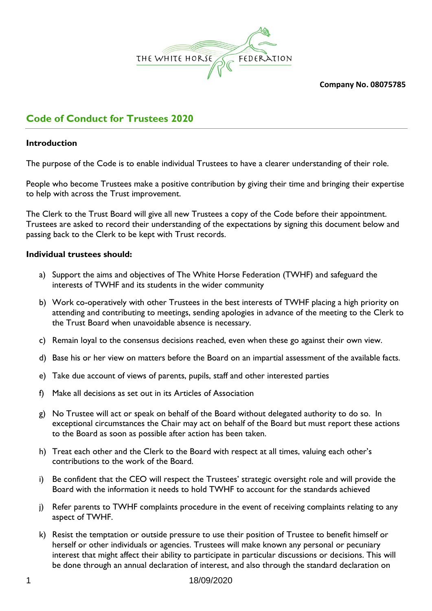

**Company No. 08075785**

# **Code of Conduct for Trustees 2020**

### **Introduction**

The purpose of the Code is to enable individual Trustees to have a clearer understanding of their role.

People who become Trustees make a positive contribution by giving their time and bringing their expertise to help with across the Trust improvement.

The Clerk to the Trust Board will give all new Trustees a copy of the Code before their appointment. Trustees are asked to record their understanding of the expectations by signing this document below and passing back to the Clerk to be kept with Trust records.

## **Individual trustees should:**

- a) Support the aims and objectives of The White Horse Federation (TWHF) and safeguard the interests of TWHF and its students in the wider community
- b) Work co-operatively with other Trustees in the best interests of TWHF placing a high priority on attending and contributing to meetings, sending apologies in advance of the meeting to the Clerk to the Trust Board when unavoidable absence is necessary.
- c) Remain loyal to the consensus decisions reached, even when these go against their own view.
- d) Base his or her view on matters before the Board on an impartial assessment of the available facts.
- e) Take due account of views of parents, pupils, staff and other interested parties
- f) Make all decisions as set out in its Articles of Association
- g) No Trustee will act or speak on behalf of the Board without delegated authority to do so. In exceptional circumstances the Chair may act on behalf of the Board but must report these actions to the Board as soon as possible after action has been taken.
- h) Treat each other and the Clerk to the Board with respect at all times, valuing each other's contributions to the work of the Board.
- i) Be confident that the CEO will respect the Trustees' strategic oversight role and will provide the Board with the information it needs to hold TWHF to account for the standards achieved
- j) Refer parents to TWHF complaints procedure in the event of receiving complaints relating to any aspect of TWHF.
- k) Resist the temptation or outside pressure to use their position of Trustee to benefit himself or herself or other individuals or agencies. Trustees will make known any personal or pecuniary interest that might affect their ability to participate in particular discussions or decisions. This will be done through an annual declaration of interest, and also through the standard declaration on